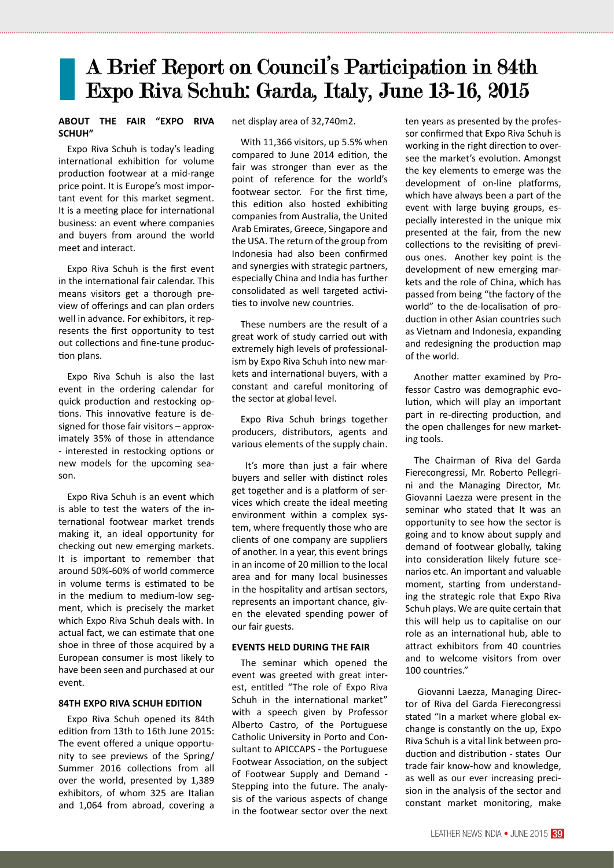# A Brief Report on Council's Participation in 84th Expo Riva Schuh: Garda, Italy, June 13-16, 2015

#### **ABOUT THE FAIR "EXPO RIVA SCHUH"**

Expo Riva Schuh is today's leading international exhibition for volume production footwear at a mid-range price point. It is Europe's most important event for this market segment. It is a meeting place for international business: an event where companies and buyers from around the world meet and interact.

Expo Riva Schuh is the first event in the international fair calendar. This means visitors get a thorough preview of offerings and can plan orders well in advance. For exhibitors, it represents the first opportunity to test out collections and fine-tune production plans.

Expo Riva Schuh is also the last event in the ordering calendar for quick production and restocking options. This innovative feature is designed for those fair visitors – approximately 35% of those in attendance - interested in restocking options or new models for the upcoming season.

Expo Riva Schuh is an event which is able to test the waters of the international footwear market trends making it, an ideal opportunity for checking out new emerging markets. It is important to remember that around 50%-60% of world commerce in volume terms is estimated to be in the medium to medium-low segment, which is precisely the market which Expo Riva Schuh deals with. In actual fact, we can estimate that one shoe in three of those acquired by a European consumer is most likely to have been seen and purchased at our event.

#### **84TH EXPO RIVA SCHUH EDITION**

Expo Riva Schuh opened its 84th edition from 13th to 16th June 2015: The event offered a unique opportunity to see previews of the Spring/ Summer 2016 collections from all over the world, presented by 1,389 exhibitors, of whom 325 are Italian and 1,064 from abroad, covering a

net display area of 32,740m2.

With 11,366 visitors, up 5.5% when compared to June 2014 edition, the fair was stronger than ever as the point of reference for the world's footwear sector. For the first time, this edition also hosted exhibiting companies from Australia, the United Arab Emirates, Greece, Singapore and the USA. The return of the group from Indonesia had also been confirmed and synergies with strategic partners, especially China and India has further consolidated as well targeted activities to involve new countries.

These numbers are the result of a great work of study carried out with extremely high levels of professionalism by Expo Riva Schuh into new markets and international buyers, with a constant and careful monitoring of the sector at global level.

Expo Riva Schuh brings together producers, distributors, agents and various elements of the supply chain.

 It's more than just a fair where buyers and seller with distinct roles get together and is a platform of services which create the ideal meeting environment within a complex system, where frequently those who are clients of one company are suppliers of another. In a year, this event brings in an income of 20 million to the local area and for many local businesses in the hospitality and artisan sectors, represents an important chance, given the elevated spending power of our fair guests.

#### **EVENTS HELD DURING THE FAIR**

The seminar which opened the event was greeted with great interest, entitled "The role of Expo Riva Schuh in the international market" with a speech given by Professor Alberto Castro, of the Portuguese Catholic University in Porto and Consultant to APICCAPS - the Portuguese Footwear Association, on the subject of Footwear Supply and Demand - Stepping into the future. The analysis of the various aspects of change in the footwear sector over the next

ten years as presented by the professor confirmed that Expo Riva Schuh is working in the right direction to oversee the market's evolution. Amongst the key elements to emerge was the development of on-line platforms, which have always been a part of the event with large buying groups, especially interested in the unique mix presented at the fair, from the new collections to the revisiting of previous ones. Another key point is the development of new emerging markets and the role of China, which has passed from being "the factory of the world" to the de-localisation of production in other Asian countries such as Vietnam and Indonesia, expanding and redesigning the production map of the world.

Another matter examined by Professor Castro was demographic evolution, which will play an important part in re-directing production, and the open challenges for new marketing tools.

The Chairman of Riva del Garda Fierecongressi, Mr. Roberto Pellegrini and the Managing Director, Mr. Giovanni Laezza were present in the seminar who stated that It was an opportunity to see how the sector is going and to know about supply and demand of footwear globally, taking into consideration likely future scenarios etc. An important and valuable moment, starting from understanding the strategic role that Expo Riva Schuh plays. We are quite certain that this will help us to capitalise on our role as an international hub, able to attract exhibitors from 40 countries and to welcome visitors from over 100 countries."

 Giovanni Laezza, Managing Director of Riva del Garda Fierecongressi stated "In a market where global exchange is constantly on the up, Expo Riva Schuh is a vital link between production and distribution - states Our trade fair know-how and knowledge, as well as our ever increasing precision in the analysis of the sector and constant market monitoring, make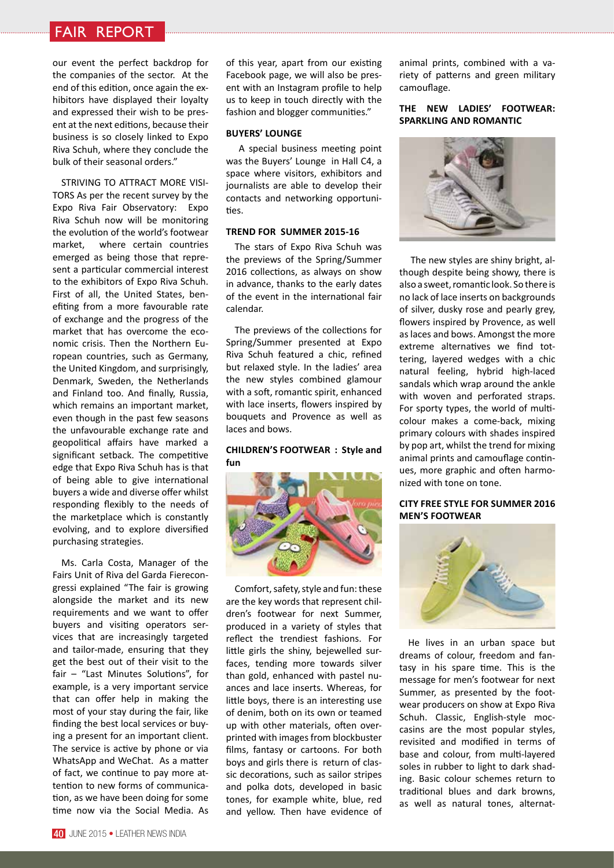## fair report

our event the perfect backdrop for the companies of the sector. At the end of this edition, once again the exhibitors have displayed their loyalty and expressed their wish to be present at the next editions, because their business is so closely linked to Expo Riva Schuh, where they conclude the bulk of their seasonal orders."

STRIVING TO ATTRACT MORE VISI-TORS As per the recent survey by the Expo Riva Fair Observatory: Expo Riva Schuh now will be monitoring the evolution of the world's footwear market, where certain countries emerged as being those that represent a particular commercial interest to the exhibitors of Expo Riva Schuh. First of all, the United States, benefiting from a more favourable rate of exchange and the progress of the market that has overcome the economic crisis. Then the Northern European countries, such as Germany, the United Kingdom, and surprisingly, Denmark, Sweden, the Netherlands and Finland too. And finally, Russia, which remains an important market, even though in the past few seasons the unfavourable exchange rate and geopolitical affairs have marked a significant setback. The competitive edge that Expo Riva Schuh has is that of being able to give international buyers a wide and diverse offer whilst responding flexibly to the needs of the marketplace which is constantly evolving, and to explore diversified purchasing strategies.

Ms. Carla Costa, Manager of the Fairs Unit of Riva del Garda Fierecongressi explained "The fair is growing alongside the market and its new requirements and we want to offer buyers and visiting operators services that are increasingly targeted and tailor-made, ensuring that they get the best out of their visit to the fair – "Last Minutes Solutions", for example, is a very important service that can offer help in making the most of your stay during the fair, like finding the best local services or buying a present for an important client. The service is active by phone or via WhatsApp and WeChat. As a matter of fact, we continue to pay more attention to new forms of communication, as we have been doing for some time now via the Social Media. As

of this year, apart from our existing Facebook page, we will also be present with an Instagram profile to help us to keep in touch directly with the fashion and blogger communities."

#### **BUYERS' LOUNGE**

 A special business meeting point was the Buyers' Lounge in Hall C4, a space where visitors, exhibitors and journalists are able to develop their contacts and networking opportunities.

#### **TREND FOR SUMMER 2015-16**

The stars of Expo Riva Schuh was the previews of the Spring/Summer 2016 collections, as always on show in advance, thanks to the early dates of the event in the international fair calendar.

The previews of the collections for Spring/Summer presented at Expo Riva Schuh featured a chic, refined but relaxed style. In the ladies' area the new styles combined glamour with a soft, romantic spirit, enhanced with lace inserts, flowers inspired by bouquets and Provence as well as laces and bows.

#### **CHILDREN'S FOOTWEAR : Style and fun**



Comfort, safety, style and fun: these are the key words that represent children's footwear for next Summer, produced in a variety of styles that reflect the trendiest fashions. For little girls the shiny, bejewelled surfaces, tending more towards silver than gold, enhanced with pastel nuances and lace inserts. Whereas, for little boys, there is an interesting use of denim, both on its own or teamed up with other materials, often overprinted with images from blockbuster films, fantasy or cartoons. For both boys and girls there is return of classic decorations, such as sailor stripes and polka dots, developed in basic tones, for example white, blue, red and yellow. Then have evidence of animal prints, combined with a variety of patterns and green military camouflage.

#### **THE NEW LADIES' FOOTWEAR: SPARKLING AND ROMANTIC**



 The new styles are shiny bright, although despite being showy, there is also a sweet, romantic look. So there is no lack of lace inserts on backgrounds of silver, dusky rose and pearly grey, flowers inspired by Provence, as well as laces and bows. Amongst the more extreme alternatives we find tottering, layered wedges with a chic natural feeling, hybrid high-laced sandals which wrap around the ankle with woven and perforated straps. For sporty types, the world of multicolour makes a come-back, mixing primary colours with shades inspired by pop art, whilst the trend for mixing animal prints and camouflage continues, more graphic and often harmonized with tone on tone.

#### **CITY FREE STYLE FOR SUMMER 2016 MEN'S FOOTWEAR**



He lives in an urban space but dreams of colour, freedom and fantasy in his spare time. This is the message for men's footwear for next Summer, as presented by the footwear producers on show at Expo Riva Schuh. Classic, English-style moccasins are the most popular styles, revisited and modified in terms of base and colour, from multi-layered soles in rubber to light to dark shading. Basic colour schemes return to traditional blues and dark browns, as well as natural tones, alternat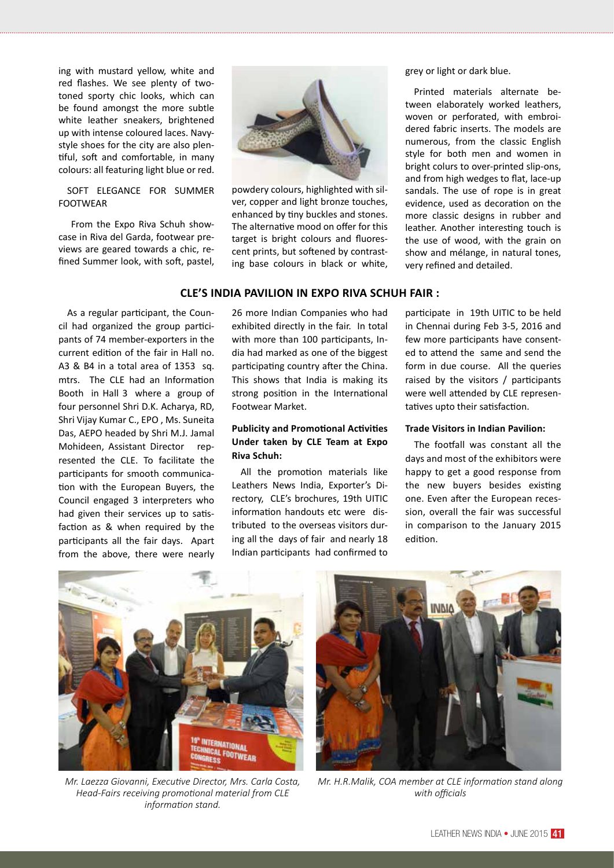ing with mustard yellow, white and red flashes. We see plenty of twotoned sporty chic looks, which can be found amongst the more subtle white leather sneakers, brightened up with intense coloured laces. Navystyle shoes for the city are also plentiful, soft and comfortable, in many colours: all featuring light blue or red.

#### SOFT ELEGANCE FOR SUMMER FOOTWEAR

 From the Expo Riva Schuh showcase in Riva del Garda, footwear previews are geared towards a chic, refined Summer look, with soft, pastel,



powdery colours, highlighted with silver, copper and light bronze touches, enhanced by tiny buckles and stones. The alternative mood on offer for this target is bright colours and fluorescent prints, but softened by contrasting base colours in black or white,

#### **CLE'S INDIA PAVILION IN EXPO RIVA SCHUH FAIR :**

As a regular participant, the Council had organized the group participants of 74 member-exporters in the current edition of the fair in Hall no. A3 & B4 in a total area of 1353 sq. mtrs. The CLE had an Information Booth in Hall 3 where a group of four personnel Shri D.K. Acharya, RD, Shri Vijay Kumar C., EPO , Ms. Suneita Das, AEPO headed by Shri M.J. Jamal Mohideen, Assistant Director represented the CLE. To facilitate the participants for smooth communication with the European Buyers, the Council engaged 3 interpreters who had given their services up to satisfaction as & when required by the participants all the fair days. Apart from the above, there were nearly

26 more Indian Companies who had exhibited directly in the fair. In total with more than 100 participants, India had marked as one of the biggest participating country after the China. This shows that India is making its strong position in the International Footwear Market.

#### **Publicity and Promotional Activities Under taken by CLE Team at Expo Riva Schuh:**

All the promotion materials like Leathers News India, Exporter's Directory, CLE's brochures, 19th UITIC information handouts etc were distributed to the overseas visitors during all the days of fair and nearly 18 Indian participants had confirmed to grey or light or dark blue.

Printed materials alternate between elaborately worked leathers, woven or perforated, with embroidered fabric inserts. The models are numerous, from the classic English style for both men and women in bright colurs to over-printed slip-ons, and from high wedges to flat, lace-up sandals. The use of rope is in great evidence, used as decoration on the more classic designs in rubber and leather. Another interesting touch is the use of wood, with the grain on show and mélange, in natural tones, very refined and detailed.

participate in 19th UITIC to be held in Chennai during Feb 3-5, 2016 and few more participants have consented to attend the same and send the form in due course. All the queries raised by the visitors / participants were well attended by CLE representatives upto their satisfaction.

#### **Trade Visitors in Indian Pavilion:**

The footfall was constant all the days and most of the exhibitors were happy to get a good response from the new buyers besides existing one. Even after the European recession, overall the fair was successful in comparison to the January 2015 edition.



*Mr. Laezza Giovanni, Executive Director, Mrs. Carla Costa, Head-Fairs receiving promotional material from CLE information stand.*



*Mr. H.R.Malik, COA member at CLE information stand along with officials*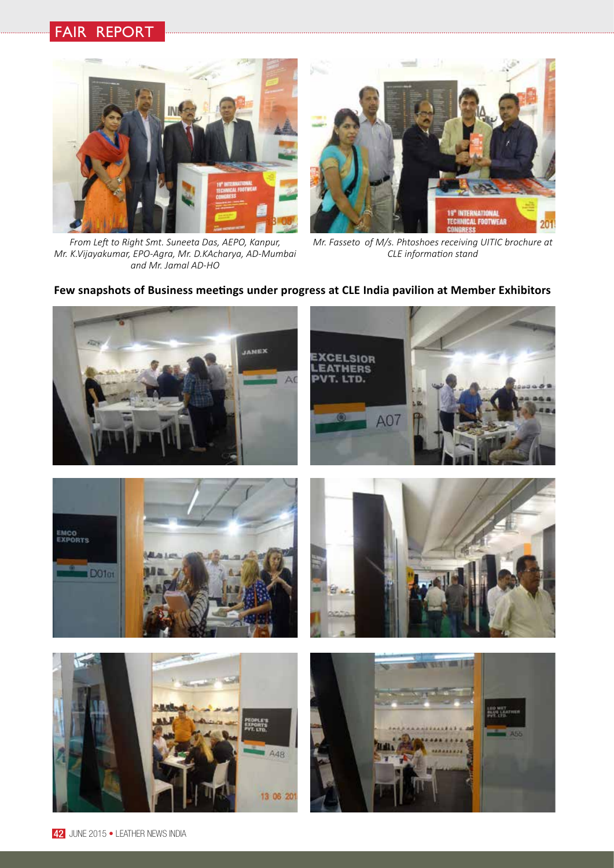# fair report



*From Left to Right Smt. Suneeta Das, AEPO, Kanpur, Mr. K.Vijayakumar, EPO-Agra, Mr. D.KAcharya, AD-Mumbai and Mr. Jamal AD-HO*



*Mr. Fasseto of M/s. Phtoshoes receiving UITIC brochure at CLE information stand* 

### **Few snapshots of Business meetings under progress at CLE India pavilion at Member Exhibitors**